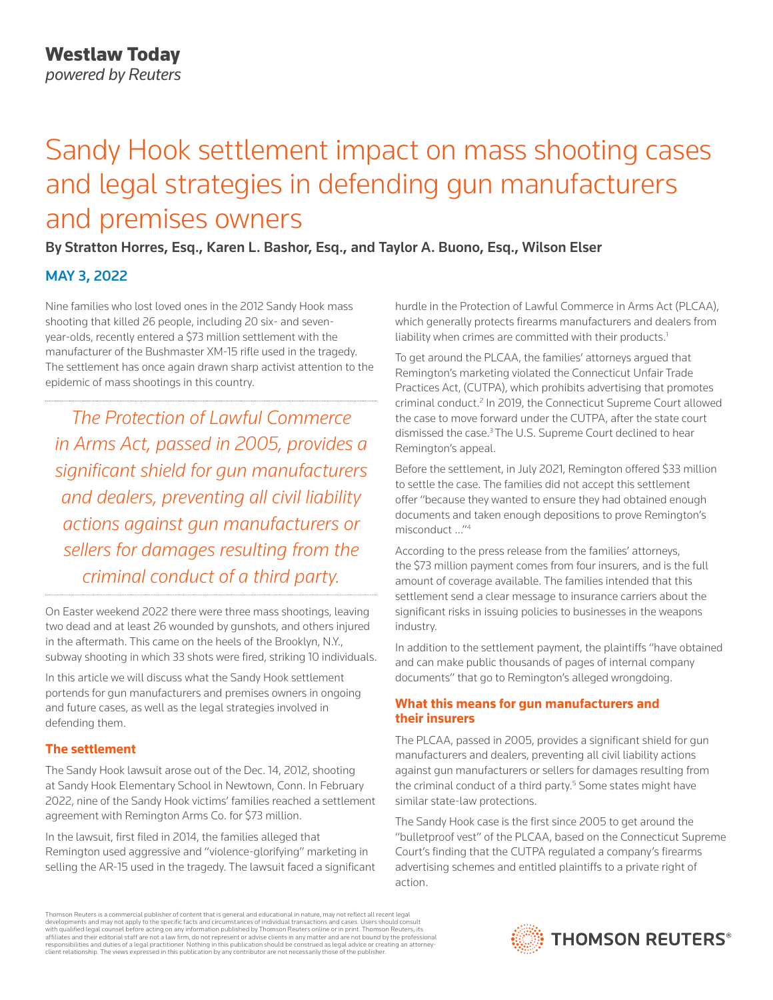# Sandy Hook settlement impact on mass shooting cases and legal strategies in defending gun manufacturers and premises owners

# By Stratton Horres, Esq., Karen L. Bashor, Esq., and Taylor A. Buono, Esq., Wilson Elser

## MAY 3, 2022

Nine families who lost loved ones in the 2012 Sandy Hook mass shooting that killed 26 people, including 20 six- and sevenyear-olds, recently entered a \$73 million settlement with the manufacturer of the Bushmaster XM-15 rifle used in the tragedy. The settlement has once again drawn sharp activist attention to the epidemic of mass shootings in this country.

*The Protection of Lawful Commerce in Arms Act, passed in 2005, provides a significant shield for gun manufacturers and dealers, preventing all civil liability actions against gun manufacturers or sellers for damages resulting from the criminal conduct of a third party.*

On Easter weekend 2022 there were three mass shootings, leaving two dead and at least 26 wounded by gunshots, and others injured in the aftermath. This came on the heels of the Brooklyn, N.Y., subway shooting in which 33 shots were fired, striking 10 individuals.

In this article we will discuss what the Sandy Hook settlement portends for gun manufacturers and premises owners in ongoing and future cases, as well as the legal strategies involved in defending them.

## **The settlement**

The Sandy Hook lawsuit arose out of the Dec. 14, 2012, shooting at Sandy Hook Elementary School in Newtown, Conn. In February 2022, nine of the Sandy Hook victims' families reached a settlement agreement with Remington Arms Co. for \$73 million.

In the lawsuit, first filed in 2014, the families alleged that Remington used aggressive and "violence-glorifying" marketing in selling the AR-15 used in the tragedy. The lawsuit faced a significant hurdle in the Protection of Lawful Commerce in Arms Act (PLCAA), which generally protects firearms manufacturers and dealers from liability when crimes are committed with their products.<sup>1</sup>

To get around the PLCAA, the families' attorneys argued that Remington's marketing violated the Connecticut Unfair Trade Practices Act, (CUTPA), which prohibits advertising that promotes criminal conduct.<sup>2</sup> In 2019, the Connecticut Supreme Court allowed the case to move forward under the CUTPA, after the state court dismissed the case.3 The U.S. Supreme Court declined to hear Remington's appeal.

Before the settlement, in July 2021, Remington offered \$33 million to settle the case. The families did not accept this settlement offer "because they wanted to ensure they had obtained enough documents and taken enough depositions to prove Remington's misconduct …"4

According to the press release from the families' attorneys, the \$73 million payment comes from four insurers, and is the full amount of coverage available. The families intended that this settlement send a clear message to insurance carriers about the significant risks in issuing policies to businesses in the weapons industry.

In addition to the settlement payment, the plaintiffs "have obtained and can make public thousands of pages of internal company documents" that go to Remington's alleged wrongdoing.

## **What this means for gun manufacturers and their insurers**

The PLCAA, passed in 2005, provides a significant shield for gun manufacturers and dealers, preventing all civil liability actions against gun manufacturers or sellers for damages resulting from the criminal conduct of a third party.<sup>5</sup> Some states might have similar state-law protections.

The Sandy Hook case is the first since 2005 to get around the "bulletproof vest" of the PLCAA, based on the Connecticut Supreme Court's finding that the CUTPA regulated a company's firearms advertising schemes and entitled plaintiffs to a private right of action.

Thomson Reuters is a commercial publisher of content that is general and educational in nature, may not reflect all recent legal developments and may not apply to the specific facts and circumstances of individual transactions and cases. Users should consult<br>with qualified legal counsel before acting on any information published by Thomson Reuters o responsibilities and duties of a legal practitioner. Nothing in this publication should be construed as legal advice or creating an attorneyclient relationship. The views expressed in this publication by any contributor are not necessarily those of the publisher.

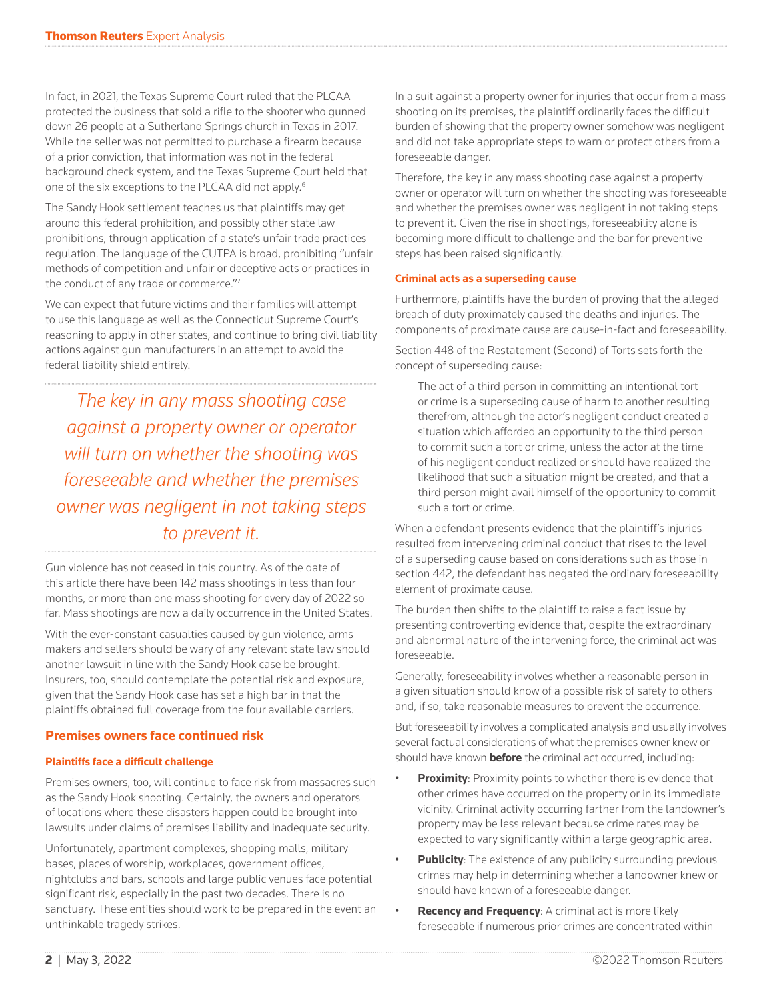In fact, in 2021, the Texas Supreme Court ruled that the PLCAA protected the business that sold a rifle to the shooter who gunned down 26 people at a Sutherland Springs church in Texas in 2017. While the seller was not permitted to purchase a firearm because of a prior conviction, that information was not in the federal background check system, and the Texas Supreme Court held that one of the six exceptions to the PLCAA did not apply.6

The Sandy Hook settlement teaches us that plaintiffs may get around this federal prohibition, and possibly other state law prohibitions, through application of a state's unfair trade practices regulation. The language of the CUTPA is broad, prohibiting "unfair methods of competition and unfair or deceptive acts or practices in the conduct of any trade or commerce."7

We can expect that future victims and their families will attempt to use this language as well as the Connecticut Supreme Court's reasoning to apply in other states, and continue to bring civil liability actions against gun manufacturers in an attempt to avoid the federal liability shield entirely.

*The key in any mass shooting case against a property owner or operator will turn on whether the shooting was foreseeable and whether the premises owner was negligent in not taking steps to prevent it.*

Gun violence has not ceased in this country. As of the date of this article there have been 142 mass shootings in less than four months, or more than one mass shooting for every day of 2022 so far. Mass shootings are now a daily occurrence in the United States.

With the ever-constant casualties caused by gun violence, arms makers and sellers should be wary of any relevant state law should another lawsuit in line with the Sandy Hook case be brought. Insurers, too, should contemplate the potential risk and exposure, given that the Sandy Hook case has set a high bar in that the plaintiffs obtained full coverage from the four available carriers.

## **Premises owners face continued risk**

#### **Plaintiffs face a difficult challenge**

Premises owners, too, will continue to face risk from massacres such as the Sandy Hook shooting. Certainly, the owners and operators of locations where these disasters happen could be brought into lawsuits under claims of premises liability and inadequate security.

Unfortunately, apartment complexes, shopping malls, military bases, places of worship, workplaces, government offices, nightclubs and bars, schools and large public venues face potential significant risk, especially in the past two decades. There is no sanctuary. These entities should work to be prepared in the event an unthinkable tragedy strikes.

In a suit against a property owner for injuries that occur from a mass shooting on its premises, the plaintiff ordinarily faces the difficult burden of showing that the property owner somehow was negligent and did not take appropriate steps to warn or protect others from a foreseeable danger.

Therefore, the key in any mass shooting case against a property owner or operator will turn on whether the shooting was foreseeable and whether the premises owner was negligent in not taking steps to prevent it. Given the rise in shootings, foreseeability alone is becoming more difficult to challenge and the bar for preventive steps has been raised significantly.

#### **Criminal acts as a superseding cause**

Furthermore, plaintiffs have the burden of proving that the alleged breach of duty proximately caused the deaths and injuries. The components of proximate cause are cause-in-fact and foreseeability.

Section 448 of the Restatement (Second) of Torts sets forth the concept of superseding cause:

The act of a third person in committing an intentional tort or crime is a superseding cause of harm to another resulting therefrom, although the actor's negligent conduct created a situation which afforded an opportunity to the third person to commit such a tort or crime, unless the actor at the time of his negligent conduct realized or should have realized the likelihood that such a situation might be created, and that a third person might avail himself of the opportunity to commit such a tort or crime.

When a defendant presents evidence that the plaintiff's injuries resulted from intervening criminal conduct that rises to the level of a superseding cause based on considerations such as those in section 442, the defendant has negated the ordinary foreseeability element of proximate cause.

The burden then shifts to the plaintiff to raise a fact issue by presenting controverting evidence that, despite the extraordinary and abnormal nature of the intervening force, the criminal act was foreseeable.

Generally, foreseeability involves whether a reasonable person in a given situation should know of a possible risk of safety to others and, if so, take reasonable measures to prevent the occurrence.

But foreseeability involves a complicated analysis and usually involves several factual considerations of what the premises owner knew or should have known **before** the criminal act occurred, including:

- **Proximity**: Proximity points to whether there is evidence that other crimes have occurred on the property or in its immediate vicinity. Criminal activity occurring farther from the landowner's property may be less relevant because crime rates may be expected to vary significantly within a large geographic area.
- **Publicity**: The existence of any publicity surrounding previous crimes may help in determining whether a landowner knew or should have known of a foreseeable danger.
- **Recency and Frequency**: A criminal act is more likely foreseeable if numerous prior crimes are concentrated within